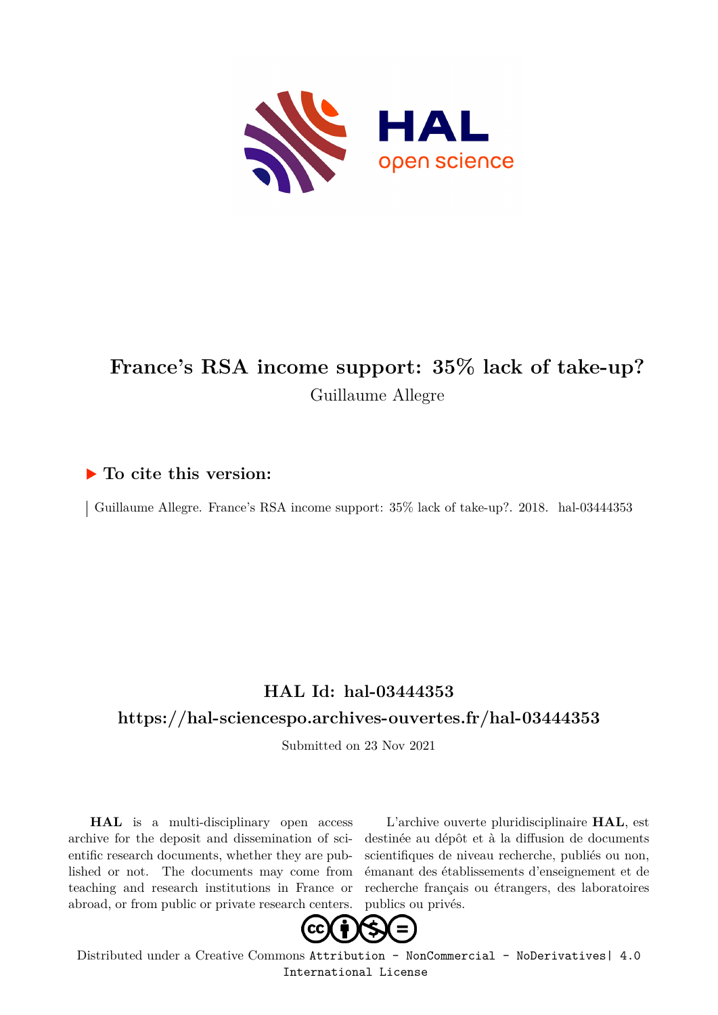

## **France's RSA income support: 35% lack of take-up?** Guillaume Allegre

#### **To cite this version:**

Guillaume Allegre. France's RSA income support:  $35\%$  lack of take-up?. 2018. hal-03444353

### **HAL Id: hal-03444353**

#### **<https://hal-sciencespo.archives-ouvertes.fr/hal-03444353>**

Submitted on 23 Nov 2021

**HAL** is a multi-disciplinary open access archive for the deposit and dissemination of scientific research documents, whether they are published or not. The documents may come from teaching and research institutions in France or abroad, or from public or private research centers.

L'archive ouverte pluridisciplinaire **HAL**, est destinée au dépôt et à la diffusion de documents scientifiques de niveau recherche, publiés ou non, émanant des établissements d'enseignement et de recherche français ou étrangers, des laboratoires publics ou privés.



Distributed under a Creative Commons [Attribution - NonCommercial - NoDerivatives| 4.0](http://creativecommons.org/licenses/by-nc-nd/4.0/) [International License](http://creativecommons.org/licenses/by-nc-nd/4.0/)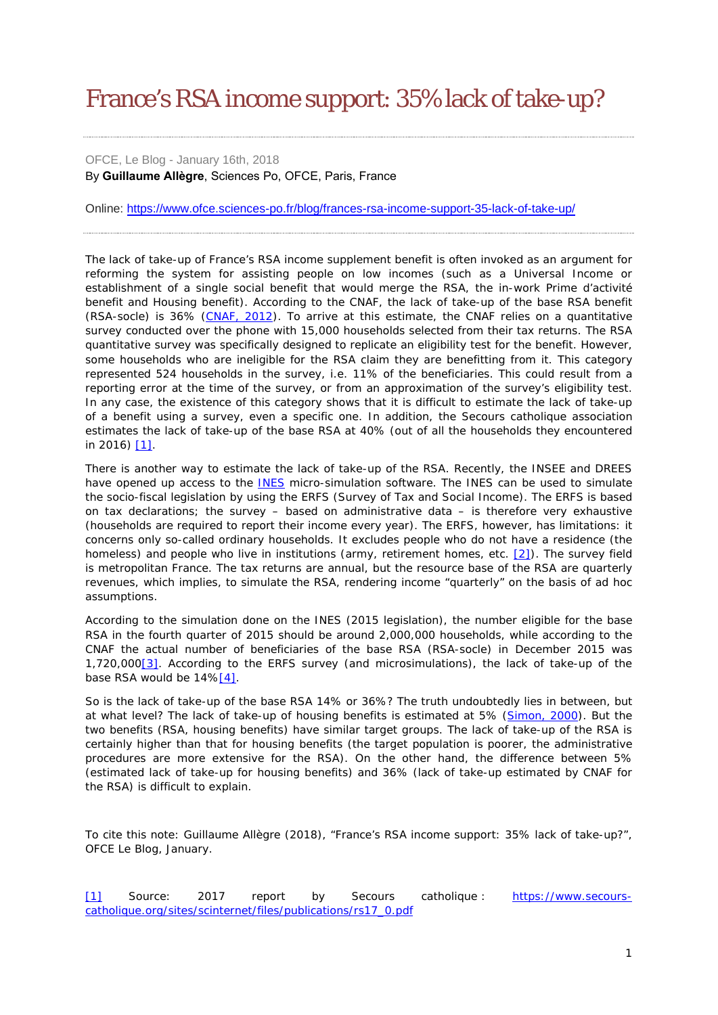# France's RSA income support: 35% lack of take-up?

OFCE, Le Blog - January 16th, 2018 By **Guillaume Allègre**, Sciences Po, OFCE, Paris, France

Online: <https://www.ofce.sciences-po.fr/blog/frances-rsa-income-support-35-lack-of-take-up/>

The lack of take-up of France's RSA income supplement benefit is often invoked as an argument for reforming the system for assisting people on low incomes (such as a Universal Income or establishment of a single social benefit that would merge the RSA, the in-work *Prime d'activité* benefit and Housing benefit). According to the CNAF, the lack of take-up of the base RSA benefit (*RSA-socle*) is 36% [\(CNAF, 2012\)](https://www.caf.fr/sites/default/files/cnaf/Documents/Dser/essentiel/124_essentiel_-_non-recours_rsa.pdf). To arrive at this estimate, the CNAF relies on a quantitative survey conducted over the phone with 15,000 households selected from their tax returns. The RSA quantitative survey was specifically designed to replicate an eligibility test for the benefit. However, some households who are ineligible for the RSA claim they are benefitting from it. This category represented 524 households in the survey, i.e. 11% of the beneficiaries. This could result from a reporting error at the time of the survey, or from an approximation of the survey's eligibility test. In any case, the existence of this category shows that it is difficult to estimate the lack of take-up of a benefit using a survey, even a specific one. In addition, the Secours catholique association estimates the lack of take-up of the base RSA at 40% (out of all the households they encountered in 2016) [\[1\].](https://www.ofce.sciences-po.fr/blog/rsa-un-non-recours-de-35/#_ftn1)

There is another way to estimate the lack of take-up of the RSA. Recently, the INSEE and DREES have opened up access to the [INES](https://www.insee.fr/fr/information/2021951) micro-simulation software. The INES can be used to simulate the socio-fiscal legislation by using the ERFS (Survey of Tax and Social Income). The ERFS is based on tax declarations; the survey – based on administrative data – is therefore very exhaustive (households are required to report their income every year). The ERFS, however, has limitations: it concerns only so-called ordinary households. It excludes people who do not have a residence (the homeless) and people who live in institutions (army, retirement homes, etc. [\[2\]\)](https://www.ofce.sciences-po.fr/blog/rsa-un-non-recours-de-35/#_ftn2). The survey field is metropolitan France. The tax returns are annual, but the resource base of the RSA are quarterly revenues, which implies, to simulate the RSA, rendering income "quarterly" on the basis of ad hoc assumptions.

According to the simulation done on the INES (2015 legislation), the number eligible for the base RSA in the fourth quarter of 2015 should be around 2,000,000 households, while according to the CNAF the actual number of beneficiaries of the base RSA (RSA-socle) in December 2015 was 1,720,00[0\[3\].](https://www.ofce.sciences-po.fr/blog/rsa-un-non-recours-de-35/#_ftn3) According to the ERFS survey (and microsimulations), the lack of take-up of the base RSA would be  $14\frac{14}{1}$ .

So is the lack of take-up of the base RSA 14% or 36%? The truth undoubtedly lies in between, but at what level? The lack of take-up of housing benefits is estimated at 5% [\(Simon, 2000\)](https://www.caf.fr/sites/default/files/cnaf/Documents/Dser/PSF/062/RP62-M-OSimon.pdf). But the two benefits (RSA, housing benefits) have similar target groups. The lack of take-up of the RSA is certainly higher than that for housing benefits (the target population is poorer, the administrative procedures are more extensive for the RSA). On the other hand, the difference between 5% (estimated lack of take-up for housing benefits) and 36% (lack of take-up estimated by CNAF for the RSA) is difficult to explain.

To cite this note: Guillaume Allègre (2018), "France's RSA income support: 35% lack of take-up?", *OFCE Le Blog*, January.

[\[1\]](https://www.ofce.sciences-po.fr/blog/rsa-un-non-recours-de-35/#_ftnref1) Source: 2017 report by Secours catholique : [https://www.secours](https://www.secours-catholique.org/sites/scinternet/files/publications/rs17_0.pdf)[catholique.org/sites/scinternet/files/publications/rs17\\_0.pdf](https://www.secours-catholique.org/sites/scinternet/files/publications/rs17_0.pdf)